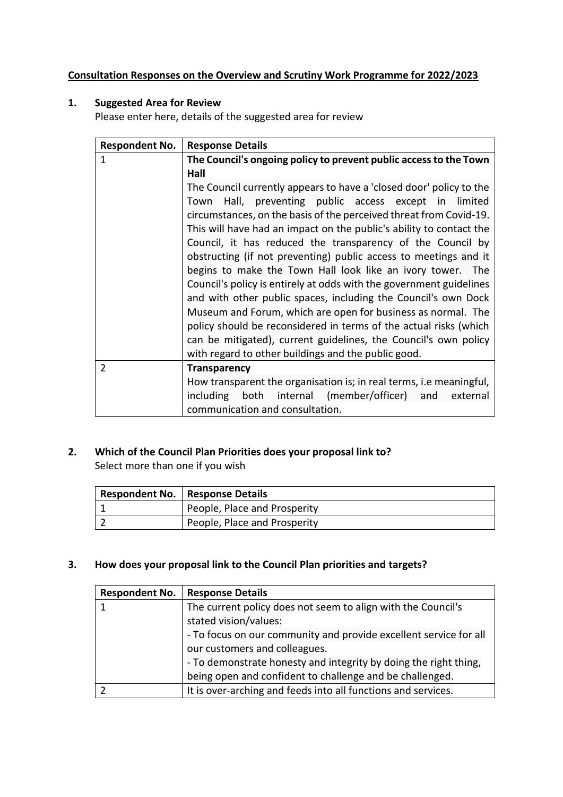## **Consultation Responses on the Overview and Scrutiny Work Programme for 2022/2023**

# **1. Suggested Area for Review**

Please enter here, details of the suggested area for review

| <b>Respondent No.</b> | <b>Response Details</b>                                             |
|-----------------------|---------------------------------------------------------------------|
| 1                     | The Council's ongoing policy to prevent public access to the Town   |
|                       | Hall                                                                |
|                       | The Council currently appears to have a 'closed door' policy to the |
|                       | Town Hall, preventing public access except in limited               |
|                       | circumstances, on the basis of the perceived threat from Covid-19.  |
|                       | This will have had an impact on the public's ability to contact the |
|                       | Council, it has reduced the transparency of the Council by          |
|                       | obstructing (if not preventing) public access to meetings and it    |
|                       | begins to make the Town Hall look like an ivory tower. The          |
|                       | Council's policy is entirely at odds with the government guidelines |
|                       | and with other public spaces, including the Council's own Dock      |
|                       | Museum and Forum, which are open for business as normal. The        |
|                       | policy should be reconsidered in terms of the actual risks (which   |
|                       | can be mitigated), current guidelines, the Council's own policy     |
|                       | with regard to other buildings and the public good.                 |
| $\overline{2}$        | <b>Transparency</b>                                                 |
|                       | How transparent the organisation is; in real terms, i.e meaningful, |
|                       | including both internal (member/officer) and<br>external            |
|                       | communication and consultation.                                     |

# **2. Which of the Council Plan Priorities does your proposal link to?**

Select more than one if you wish

| <b>Respondent No.   Response Details</b> |
|------------------------------------------|
| People, Place and Prosperity             |
| People, Place and Prosperity             |

# **3. How does your proposal link to the Council Plan priorities and targets?**

| <b>Respondent No.</b> | <b>Response Details</b>                                           |
|-----------------------|-------------------------------------------------------------------|
| 1                     | The current policy does not seem to align with the Council's      |
|                       | stated vision/values:                                             |
|                       | - To focus on our community and provide excellent service for all |
|                       | our customers and colleagues.                                     |
|                       | - To demonstrate honesty and integrity by doing the right thing,  |
|                       | being open and confident to challenge and be challenged.          |
|                       | It is over-arching and feeds into all functions and services.     |